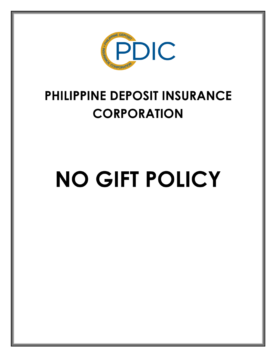

# **PHILIPPINE DEPOSIT INSURANCE CORPORATION**

# **NO GIFT POLICY**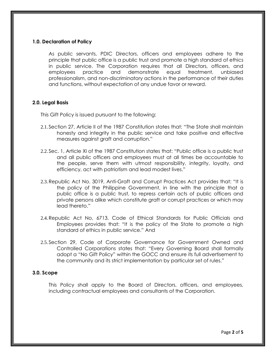# **1.0. Declaration of Policy**

As public servants, PDIC Directors, officers and employees adhere to the principle that public office is a public trust and promote a high standard of ethics in public service. The Corporation requires that all Directors, officers, and employees practice and demonstrate equal treatment, unbiased professionalism, and non-discriminatory actions in the performance of their duties and functions, without expectation of any undue favor or reward.

# **2.0. Legal Basis**

This Gift Policy is issued pursuant to the following:

- 2.1. Section 27, Article II of the 1987 Constitution states that: "The State shall maintain honesty and integrity in the public service and take positive and effective measures against graft and corruption."
- 2.2. Sec. 1, Article XI of the 1987 Constitution states that: "Public office is a public trust and all public officers and employees must at all times be accountable to the people, serve them with utmost responsibility, integrity, loyalty, and efficiency, act with patriotism and lead modest lives."
- 2.3.Republic Act No. 3019, Anti-Graft and Corrupt Practices Act provides that: "It is the policy of the Philippine Government, in line with the principle that a public office is a public trust, to repress certain acts of public officers and private persons alike which constitute graft or corrupt practices or which may lead thereto."
- 2.4.Republic Act No, 6713, Code of Ethical Standards for Public Officials and Employees provides that: "It is the policy of the State to promote a high standard of ethics in public service." And
- 2.5. Section 29, Code of Corporate Governance for Government Owned and Controlled Corporations states that: "Every Governing Board shall formally adopt a "No Gift Policy" within the GOCC and ensure its full advertisement to the community and its strict implementation by particular set of rules."

# **3.0. Scope**

This Policy shall apply to the Board of Directors, officers, and employees, including contractual employees and consultants of the Corporation.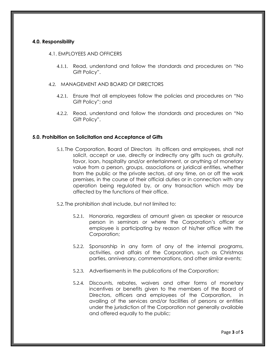# **4.0. Responsibility**

#### 4.1. EMPLOYEES AND OFFICERS

- 4.1.1. Read, understand and follow the standards and procedures on "No Gift Policy".
- 4.2. MANAGEMENT AND BOARD OF DIRECTORS
	- 4.2.1. Ensure that all employees follow the policies and procedures on "No Gift Policy"; and
	- 4.2.2. Read, understand and follow the standards and procedures on "No Gift Policy".

#### **5.0. Prohibition on Solicitation and Acceptance of Gifts**

- 5.1. The Corporation, Board of Directors its officers and employees, shall not solicit, accept or use, directly or indirectly any gifts such as gratuity, favor, loan, hospitality and/or entertainment, or anything of monetary value from a person, groups, associations or juridical entities, whether from the public or the private sectors, at any time, on or off the work premises, in the course of their official duties or in connection with any operation being regulated by, or any transaction which may be affected by the functions of their office.
- 5.2. The prohibition shall include, but not limited to:
	- 5.2.1. Honoraria, regardless of amount given as speaker or resource person in seminars or where the Corporation's officer or employee is participating by reason of his/her office with the Corporation;
	- 5.2.2. Sponsorship in any form of any of the internal programs, activities, and affairs of the Corporation, such as Christmas parties, anniversary, commemorations, and other similar events;
	- 5.2.3. Advertisements in the publications of the Corporation;
	- 5.2.4. Discounts, rebates, waivers and other forms of monetary incentives or benefits given to the members of the Board of Directors, officers and employees of the Corporation, in availing of the services and/or facilities of persons or entities under the jurisdiction of the Corporation not generally available and offered equally to the public;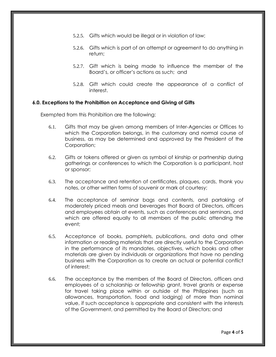- 5.2.5. Gifts which would be illegal or in violation of law;
- 5.2.6. Gifts which is part of an attempt or agreement to do anything in return;
- 5.2.7. Gift which is being made to influence the member of the Board's, or officer's actions as such;and
- 5.2.8. Gift which could create the appearance of a conflict of interest.

# **6.0. Exceptions to the Prohibition on Acceptance and Giving of Gifts**

Exempted from this Prohibition are the following:

- 6.1. Gifts that may be given among members of Inter-Agencies or Offices to which the Corporation belongs, in the customary and normal course of business, as may be determined and approved by the President of the Corporation;
- 6.2. Gifts or tokens offered or given as symbol of kinship or partnership during gatherings or conferences to which the Corporation is a participant, host or sponsor;
- 6.3. The acceptance and retention of certificates, plaques, cards, thank you notes, or other written forms of souvenir or mark of courtesy;
- 6.4. The acceptance of seminar bags and contents, and partaking of moderately priced meals and beverages that Board of Directors, officers and employees obtain at events, such as conferences and seminars, and which are offered equally to all members of the public attending the event;
- 6.5. Acceptance of books, pamphlets, publications, and data and other information or reading materials that are directly useful to the Corporation in the performance of its mandates, objectives, which books and other materials are given by individuals or organizations that have no pending business with the Corporation as to create an actual or potential conflict of interest;
- 6.6. The acceptance by the members of the Board of Directors, officers and employees of a scholarship or fellowship grant, travel grants or expense for travel taking place within or outside of the Philippines (such as allowances, transportation, food and lodging) of more than nominal value, if such acceptance is appropriate and consistent with the interests of the Government, and permitted by the Board of Directors; and